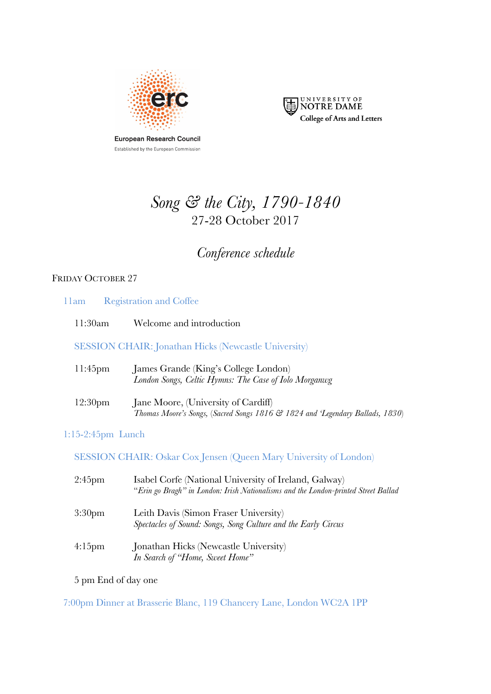

European Research Council Established by the European Commission



# *Song & the City, 1790-1840* 27-28 October 2017

# *Conference schedule*

# FRIDAY OCTOBER 27

|                      | 11am Registration and Coffee                                                                                                                |
|----------------------|---------------------------------------------------------------------------------------------------------------------------------------------|
| 11:30am              | Welcome and introduction                                                                                                                    |
|                      | <b>SESSION CHAIR: Jonathan Hicks (Newcastle University)</b>                                                                                 |
| $11:45$ pm           | James Grande (King's College London)<br>London Songs, Celtic Hymns: The Case of Iolo Morganwg                                               |
| 12:30 <sub>pm</sub>  | Jane Moore, (University of Cardiff)<br>Thomas Moore's Songs, (Sacred Songs 1816 & 1824 and 'Legendary Ballads, 1830)                        |
| $1:15-2:45$ pm Lunch |                                                                                                                                             |
|                      | <b>SESSION CHAIR: Oskar Cox Jensen (Queen Mary University of London)</b>                                                                    |
| $2:45$ pm            | Isabel Corfe (National University of Ireland, Galway)<br>"Erin go Bragh" in London: Irish Nationalisms and the London-printed Street Ballad |
| 3:30 <sub>pm</sub>   | Leith Davis (Simon Fraser University)<br>Spectacles of Sound: Songs, Song Culture and the Early Circus                                      |

4:15pm Jonathan Hicks (Newcastle University) *In Search of "Home, Sweet Home"*

5 pm End of day one

7:00pm Dinner at Brasserie Blanc, 119 Chancery Lane, London WC2A 1PP